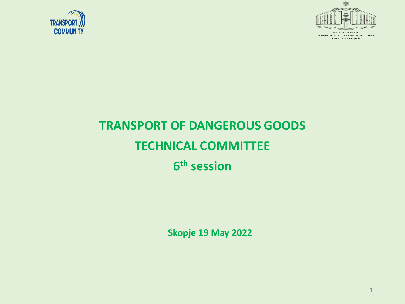



.<br>REPUBLIKA E SHQIPËRIS MINISTRIA E INFRASTRUKTURËS<br>DHE ENERGJISË

## **TRANSPORT OF DANGEROUS GOODS TECHNICAL COMMITTEE 6 th session**

**Skopje 19 May 2022**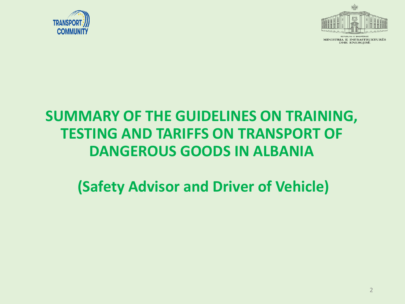



MINISTRIA E INFRASTRUKTURËS **DHE ENERGJISË** 

## **SUMMARY OF THE GUIDELINES ON TRAINING, TESTING AND TARIFFS ON TRANSPORT OF DANGEROUS GOODS IN ALBANIA**

**(Safety Advisor and Driver of Vehicle)**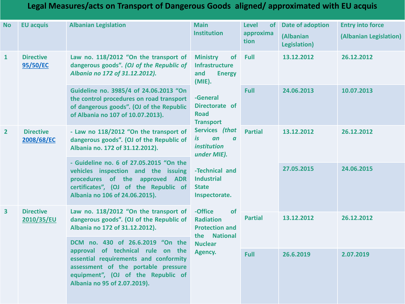#### **Legal Measures/acts on Transport of Dangerous Goods aligned/ approximated with EU acquis**

| <b>No</b>               | <b>EU acquis</b>               | <b>Albanian Legislation</b>                                                                                                                                                                                                 | <b>Main</b><br><b>Institution</b>                                                                                                                                                                                                                                                                                   | <b>Level</b><br><b>of</b><br>approxima<br>tion | Date of adoption<br><b>(Albanian</b><br><b>Legislation</b> ) | <b>Entry into force</b><br>(Albanian Legislation) |
|-------------------------|--------------------------------|-----------------------------------------------------------------------------------------------------------------------------------------------------------------------------------------------------------------------------|---------------------------------------------------------------------------------------------------------------------------------------------------------------------------------------------------------------------------------------------------------------------------------------------------------------------|------------------------------------------------|--------------------------------------------------------------|---------------------------------------------------|
| $\mathbf{1}$            | <b>Directive</b><br>95/50/EC   | Law no. 118/2012 "On the transport of<br>dangerous goods". (OJ of the Republic of<br>Albania no 172 of 31.12.2012).                                                                                                         | of<br><b>Ministry</b><br><b>Infrastructure</b><br>and<br><b>Energy</b><br>$(MIE)$ .<br>-General<br>Directorate of<br><b>Road</b><br><b>Transport</b><br>Services (that<br>is<br>an<br>$\boldsymbol{a}$<br><i>institution</i><br>under MIE).<br>-Technical and<br><b>Industrial</b><br><b>State</b><br>Inspectorate. | Full                                           | 13.12.2012                                                   | 26.12.2012                                        |
|                         |                                | Guideline no. 3985/4 of 24.06.2013 "On<br>the control procedures on road transport<br>of dangerous goods". (OJ of the Republic<br>of Albania no 107 of 10.07.2013).                                                         |                                                                                                                                                                                                                                                                                                                     | Full                                           | 24.06.2013                                                   | 10.07.2013                                        |
| $\overline{2}$          | <b>Directive</b><br>2008/68/EC | - Law no 118/2012 "On the transport of<br>dangerous goods". (OJ of the Republic of<br>Albania no. 172 of 31.12.2012).                                                                                                       |                                                                                                                                                                                                                                                                                                                     | <b>Partial</b>                                 | 13.12.2012                                                   | 26.12.2012                                        |
|                         |                                | - Guideline no. 6 of 27.05.2015 "On the<br>vehicles inspection and the issuing<br>procedures of the approved ADR<br>certificates", (OJ of the Republic of<br>Albania no 106 of 24.06.2015).                                 |                                                                                                                                                                                                                                                                                                                     |                                                | 27.05.2015                                                   | 24.06.2015                                        |
| $\overline{\mathbf{3}}$ | <b>Directive</b><br>2010/35/EU | Law no. 118/2012 "On the transport of<br>dangerous goods". (OJ of the Republic of<br>Albania no 172 of 31.12.2012).                                                                                                         | -Office<br>of<br><b>Radiation</b><br><b>Protection and</b><br>the National<br><b>Nuclear</b><br>Agency.                                                                                                                                                                                                             | <b>Partial</b>                                 | 13.12.2012                                                   | 26.12.2012                                        |
|                         |                                | DCM no. 430 of 26.6.2019 "On the<br>approval of technical rule on the<br>essential requirements and conformity<br>assessment of the portable pressure<br>equipment", (OJ of the Republic of<br>Albania no 95 of 2.07.2019). |                                                                                                                                                                                                                                                                                                                     | Full                                           | 26.6.2019                                                    | 2.07.2019                                         |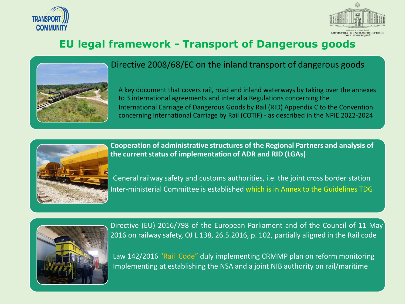



4

## **EU legal framework - Transport of Dangerous goods**



#### Directive 2008/68/EC on the inland transport of dangerous goods

A key document that covers rail, road and inland waterways by taking over the annexes to 3 international agreements and inter alia Regulations concerning the International Carriage of Dangerous Goods by Rail (RID) Appendix C to the Convention concerning International Carriage by Rail (COTIF) - as described in the NPIE 2022-2024



**Cooperation of administrative structures of the Regional Partners and analysis of the current status of implementation of ADR and RID (LGAs)**

General railway safety and customs authorities, i.e. the joint cross border station Inter-ministerial Committee is established which is in Annex to the Guidelines TDG



Directive (EU) 2016/798 of the European Parliament and of the Council of 11 May 2016 on railway safety, OJ L 138, 26.5.2016, p. 102, partially aligned in the Rail code

Law 142/2016 "Rail Code" duly implementing CRMMP plan on reform monitoring Implementing at establishing the NSA and a joint NIB authority on rail/maritime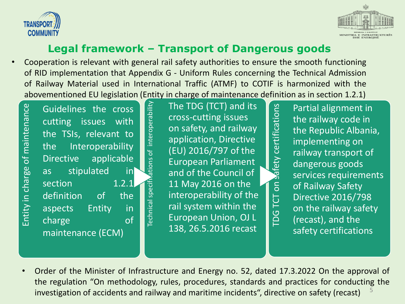



#### **Legal framework – Transport of Dangerous goods**

• Cooperation is relevant with general rail safety authorities to ensure the smooth functioning of RID implementation that Appendix G - Uniform Rules concerning the Technical Admission of Railway Material used in International Traffic (ATMF) to COTIF is harmonized with the abovementioned EU legislation (Entity in charge of maintenance definition as in section 1.2.1)

Technical specifications of interoperability

echnical specifix

ations of interoperability

Entity in charge of maintenance Entity in charge of maintenance

Guidelines the cross cutting issues with the TSIs, relevant to the Interoperability Directive applicable as stipulated in section 1.2.1 definition of the aspects Entity in charge of maintenance (ECM)

The TDG (TCT) and its cross-cutting issues on safety, and railway application, Directive (EU) 2016/797 of the European Parliament and of the Council of 11 May 2016 on the interoperability of the rail system within the European Union, OJ L 138, 26.5.2016 recast

Partial alignment in the railway code in the Republic Albania, implementing on railway transport of dangerous goods services requirements of Railway Safety Directive 2016/798 on the railway safety (recast), and the safety certifications

TDG TCT on safety certifications

 $\overline{5}$ 

**TDG TCT** 

safety certifications

5 • Order of the Minister of Infrastructure and Energy no. 52, dated 17.3.2022 On the approval of the regulation "On methodology, rules, procedures, standards and practices for conducting the investigation of accidents and railway and maritime incidents", directive on safety (recast)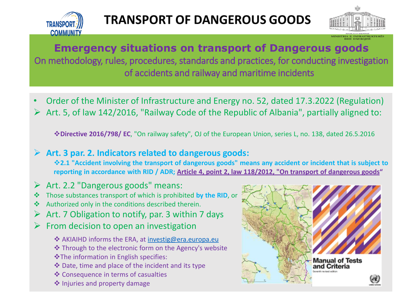



MINISTRIA E INFRASTRUKT<br>DHE ENERGIISË

## **Emergency situations on transport of Dangerous goods**

On methodology, rules, procedures, standards and practices, for conducting investigation of accidents and railway and maritime incidents

- Order of the Minister of Infrastructure and Energy no. 52, dated 17.3.2022 (Regulation)
- ➢ Art. 5, of law 142/2016, "Railway Code of the Republic of Albania", partially aligned to:

❖**Directive 2016/798/ EC**, "On railway safety", OJ of the European Union, series L, no. 138, dated 26.5.2016

#### ➢ **Art. 3 par. 2. Indicators related to dangerous goods:**

†2.1 "Accident involving the transport of dangerous goods" means any accident or incident that is subject to reporting in accordance with RID / ADR; Article 4, point 2, law 118/2012, "On transport of dangerous goods"

- $\triangleright$  Art. 2.2 "Dangerous goods" means:
- ❖ Those substances transport of which is prohibited **by the RID**, or
- ❖ Authorized only in the conditions described therein.
- $\triangleright$  Art. 7 Obligation to notify, par. 3 within 7 days
- $\triangleright$  From decision to open an investigation
	- ❖ AKIAIHD informs the ERA, at [investig@era.europa.eu](mailto:investig@era.europa.eu)
	- ❖ Through to the electronic form on the Agency's website ❖The information in English specifies:
	- ❖ Date, time and place of the incident and its type
	- ❖ Consequence in terms of casualties
	- ❖ Injuries and property damage

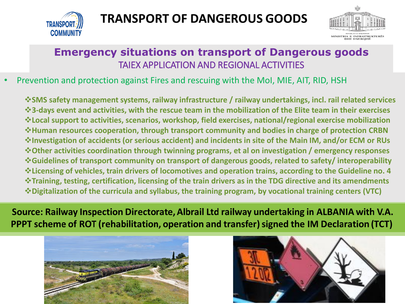

## **TRANSPORT OF DANGEROUS GOODS**



### **Emergency situations on transport of Dangerous goods** TAIEX APPLICATION AND REGIONAL ACTIVITIES

#### • Prevention and protection against Fires and rescuing with the MoI, MIE, AIT, RID, HSH

❖**SMS safety management systems, railway infrastructure / railway undertakings, incl. rail related services** \*3-days event and activities, with the rescue team in the mobilization of the Elite team in their exercises ❖**Local support to activities, scenarios, workshop, field exercises, national/regional exercise mobilization** ❖**Human resources cooperation, through transport community and bodies in charge of protection CRBN** \*Investigation of accidents (or serious accident) and incidents in site of the Main IM, and/or ECM or RUs ❖**Other activities coordination through twinning programs, et al on investigation / emergency responses** ❖**Guidelines of transport community on transport of dangerous goods, related to safety/ interoperability** ❖**Licensing of vehicles, train drivers of locomotives and operation trains, according to the Guideline no. 4** ❖**Training, testing, certification, licensing of the train drivers as in the TDG directive and its amendments** ❖**Digitalization of the curricula and syllabus, the training program, by vocational training centers (VTC)**

Source: Railway Inspection Directorate, Albrail Ltd railway undertaking in ALBANIA with V.A. PPPT scheme of ROT (rehabilitation, operation and transfer) signed the IM Declaration (TCT)



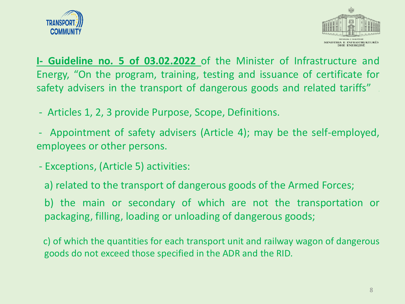



**I- Guideline no. 5 of 03.02.2022** of the Minister of Infrastructure and Energy, "On the program, training, testing and issuance of certificate for safety advisers in the transport of dangerous goods and related tariffs" *.*

- Articles 1, 2, 3 provide Purpose, Scope, Definitions.
- Appointment of safety advisers (Article 4); may be the self-employed, employees or other persons.
- Exceptions, (Article 5) activities:
	- a) related to the transport of dangerous goods of the Armed Forces;
	- b) the main or secondary of which are not the transportation or packaging, filling, loading or unloading of dangerous goods;

c) of which the quantities for each transport unit and railway wagon of dangerous goods do not exceed those specified in the ADR and the RID.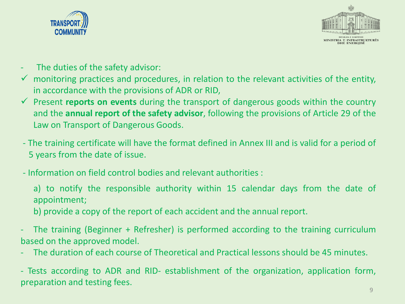



- The duties of the safety advisor:
- $\checkmark$  monitoring practices and procedures, in relation to the relevant activities of the entity, in accordance with the provisions of ADR or RID,
- ✓ Present **reports on events** during the transport of dangerous goods within the country and the **annual report of the safety advisor**, following the provisions of Article 29 of the Law on Transport of Dangerous Goods.
- The training certificate will have the format defined in Annex III and is valid for a period of 5 years from the date of issue.
- Information on field control bodies and relevant authorities :
	- a) to notify the responsible authority within 15 calendar days from the date of appointment;
	- b) provide a copy of the report of each accident and the annual report.
- The training (Beginner + Refresher) is performed according to the training curriculum based on the approved model.
- The duration of each course of Theoretical and Practical lessons should be 45 minutes.

- Tests according to ADR and RID- establishment of the organization, application form, preparation and testing fees.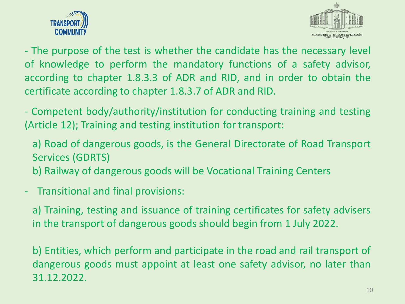



- The purpose of the test is whether the candidate has the necessary level of knowledge to perform the mandatory functions of a safety advisor, according to chapter 1.8.3.3 of ADR and RID, and in order to obtain the certificate according to chapter 1.8.3.7 of ADR and RID.

- Competent body/authority/institution for conducting training and testing (Article 12); Training and testing institution for transport:

a) Road of dangerous goods, is the General Directorate of Road Transport Services (GDRTS)

b) Railway of dangerous goods will be Vocational Training Centers

### - Transitional and final provisions:

a) Training, testing and issuance of training certificates for safety advisers in the transport of dangerous goods should begin from 1 July 2022.

b) Entities, which perform and participate in the road and rail transport of dangerous goods must appoint at least one safety advisor, no later than 31.12.2022.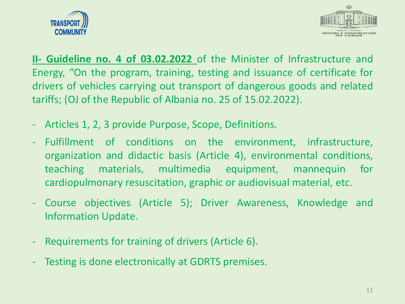



**II- Guideline no. 4 of 03.02.2022** of the Minister of Infrastructure and Energy, "On the program, training, testing and issuance of certificate for drivers of vehicles carrying out transport of dangerous goods and related tariffs; (OJ of the Republic of Albania no. 25 of 15.02.2022).

- Articles 1, 2, 3 provide Purpose, Scope, Definitions.
- Fulfillment of conditions on the environment, infrastructure, organization and didactic basis (Article 4), environmental conditions, teaching materials, multimedia equipment, mannequin for cardiopulmonary resuscitation, graphic or audiovisual material, etc.
- Course objectives (Article 5); Driver Awareness, Knowledge and Information Update.
- Requirements for training of drivers (Article 6).
- Testing is done electronically at GDRTS premises.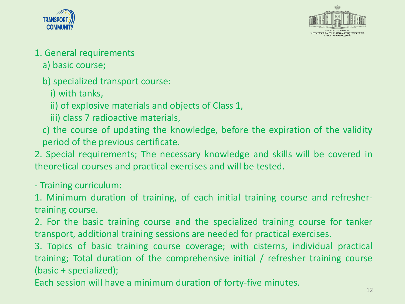



- 1. General requirements
	- a) basic course;
	- b) specialized transport course:
		- i) with tanks,
		- ii) of explosive materials and objects of Class 1,
		- iii) class 7 radioactive materials,
	- c) the course of updating the knowledge, before the expiration of the validity period of the previous certificate.
- 2. Special requirements; The necessary knowledge and skills will be covered in theoretical courses and practical exercises and will be tested.
- Training curriculum:
- 1. Minimum duration of training, of each initial training course and refreshertraining course.
- 2. For the basic training course and the specialized training course for tanker transport, additional training sessions are needed for practical exercises.
- 3. Topics of basic training course coverage; with cisterns, individual practical training; Total duration of the comprehensive initial / refresher training course (basic + specialized);
- Each session will have a minimum duration of forty-five minutes.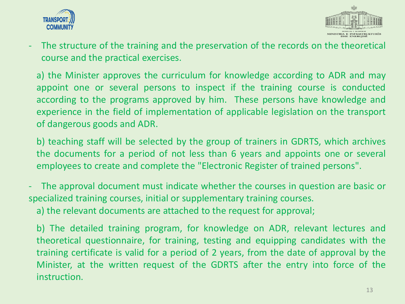



- The structure of the training and the preservation of the records on the theoretical course and the practical exercises.

a) the Minister approves the curriculum for knowledge according to ADR and may appoint one or several persons to inspect if the training course is conducted according to the programs approved by him. These persons have knowledge and experience in the field of implementation of applicable legislation on the transport of dangerous goods and ADR.

b) teaching staff will be selected by the group of trainers in GDRTS, which archives the documents for a period of not less than 6 years and appoints one or several employees to create and complete the "Electronic Register of trained persons".

The approval document must indicate whether the courses in question are basic or specialized training courses, initial or supplementary training courses.

a) the relevant documents are attached to the request for approval;

b) The detailed training program, for knowledge on ADR, relevant lectures and theoretical questionnaire, for training, testing and equipping candidates with the training certificate is valid for a period of 2 years, from the date of approval by the Minister, at the written request of the GDRTS after the entry into force of the instruction.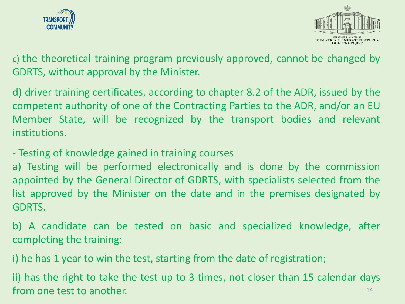



c) the theoretical training program previously approved, cannot be changed by GDRTS, without approval by the Minister.

d) driver training certificates, according to chapter 8.2 of the ADR, issued by the competent authority of one of the Contracting Parties to the ADR, and/or an EU Member State, will be recognized by the transport bodies and relevant institutions.

- Testing of knowledge gained in training courses

a) Testing will be performed electronically and is done by the commission appointed by the General Director of GDRTS, with specialists selected from the list approved by the Minister on the date and in the premises designated by GDRTS.

b) A candidate can be tested on basic and specialized knowledge, after completing the training:

i) he has 1 year to win the test, starting from the date of registration;

ii) has the right to take the test up to 3 times, not closer than 15 calendar days from one test to another. 14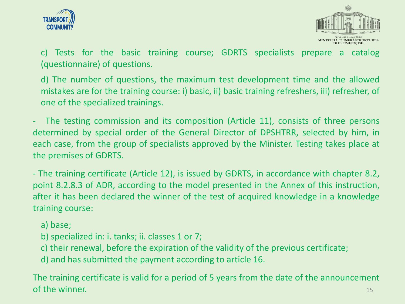



c) Tests for the basic training course; GDRTS specialists prepare a catalog (questionnaire) of questions.

d) The number of questions, the maximum test development time and the allowed mistakes are for the training course: i) basic, ii) basic training refreshers, iii) refresher, of one of the specialized trainings.

The testing commission and its composition (Article 11), consists of three persons determined by special order of the General Director of DPSHTRR, selected by him, in each case, from the group of specialists approved by the Minister. Testing takes place at the premises of GDRTS.

- The training certificate (Article 12), is issued by GDRTS, in accordance with chapter 8.2, point 8.2.8.3 of ADR, according to the model presented in the Annex of this instruction, after it has been declared the winner of the test of acquired knowledge in a knowledge training course:

#### a) base;

- b) specialized in: i. tanks; ii. classes 1 or 7;
- c) their renewal, before the expiration of the validity of the previous certificate;
- d) and has submitted the payment according to article 16.

The training certificate is valid for a period of 5 years from the date of the announcement of the winner. The set of the winner and the set of the set of the set of the set of the set of the set of the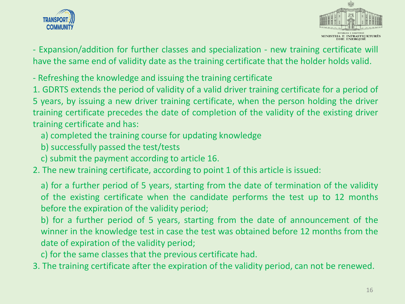



- Expansion/addition for further classes and specialization - new training certificate will have the same end of validity date as the training certificate that the holder holds valid.

- Refreshing the knowledge and issuing the training certificate
- 1. GDRTS extends the period of validity of a valid driver training certificate for a period of 5 years, by issuing a new driver training certificate, when the person holding the driver training certificate precedes the date of completion of the validity of the existing driver training certificate and has:
	- a) completed the training course for updating knowledge
	- b) successfully passed the test/tests
	- c) submit the payment according to article 16.
- 2. The new training certificate, according to point 1 of this article is issued:
	- a) for a further period of 5 years, starting from the date of termination of the validity of the existing certificate when the candidate performs the test up to 12 months before the expiration of the validity period;
	- b) for a further period of 5 years, starting from the date of announcement of the winner in the knowledge test in case the test was obtained before 12 months from the date of expiration of the validity period;
	- c) for the same classes that the previous certificate had.
- 3. The training certificate after the expiration of the validity period, can not be renewed.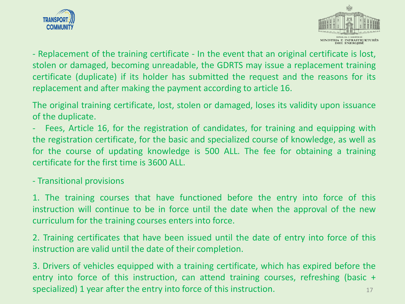



- Replacement of the training certificate - In the event that an original certificate is lost, stolen or damaged, becoming unreadable, the GDRTS may issue a replacement training certificate (duplicate) if its holder has submitted the request and the reasons for its replacement and after making the payment according to article 16.

The original training certificate, lost, stolen or damaged, loses its validity upon issuance of the duplicate.

Fees, Article 16, for the registration of candidates, for training and equipping with the registration certificate, for the basic and specialized course of knowledge, as well as for the course of updating knowledge is 500 ALL. The fee for obtaining a training certificate for the first time is 3600 ALL.

- Transitional provisions

1. The training courses that have functioned before the entry into force of this instruction will continue to be in force until the date when the approval of the new curriculum for the training courses enters into force.

2. Training certificates that have been issued until the date of entry into force of this instruction are valid until the date of their completion.

3. Drivers of vehicles equipped with a training certificate, which has expired before the entry into force of this instruction, can attend training courses, refreshing (basic + specialized) 1 year after the entry into force of this instruction.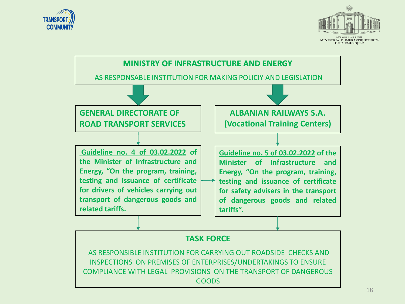



MINISTRIA E INFRASTRUKTURËS **DHE ENERGJISË**